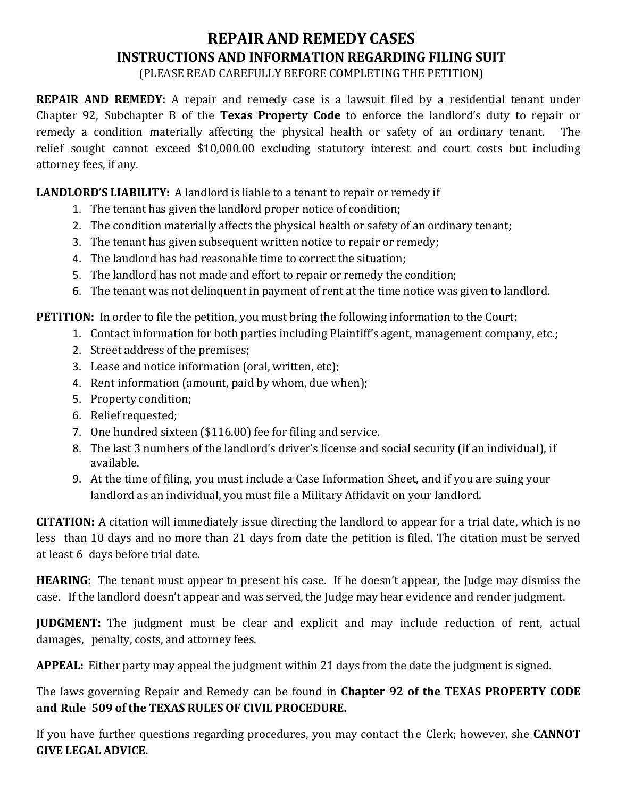## **REPAIR AND REMEDY CASES INSTRUCTIONS AND INFORMATION REGARDING FILING SUIT**

(PLEASE READ CAREFULLY BEFORE COMPLETING THE PETITION)

**REPAIR AND REMEDY:** A repair and remedy case is a lawsuit filed by a residential tenant under Chapter 92, Subchapter B of the **Texas Property Code** to enforce the landlord's duty to repair or remedy a condition materially affecting the physical health or safety of an ordinary tenant. The relief sought cannot exceed \$10,000.00 excluding statutory interest and court costs but including attorney fees, if any.

## **LANDLORD'S LIABILITY:** A landlord is liable to a tenant to repair or remedy if

- 1. The tenant has given the landlord proper notice of condition;
- 2. The condition materially affects the physical health or safety of an ordinary tenant;
- 3. The tenant has given subsequent written notice to repair or remedy;
- 4. The landlord has had reasonable time to correct the situation;
- 5. The landlord has not made and effort to repair or remedy the condition;
- 6. The tenant was not delinquent in payment of rent at the time notice was given to landlord.

**PETITION:** In order to file the petition, you must bring the following information to the Court:

- 1. Contact information for both parties including Plaintiff's agent, management company, etc.;
- 2. Street address of the premises;
- 3. Lease and notice information (oral, written, etc);
- 4. Rent information (amount, paid by whom, due when);
- 5. Property condition;
- 6. Relief requested;
- 7. One hundred sixteen (\$116.00) fee for filing and service.
- 8. The last 3 numbers of the landlord's driver's license and social security (if an individual), if available.
- 9. At the time of filing, you must include a Case Information Sheet, and if you are suing your landlord as an individual, you must file a Military Affidavit on your landlord.

**CITATION:** A citation will immediately issue directing the landlord to appear for a trial date, which is no less than 10 days and no more than 21 days from date the petition is filed. The citation must be served at least 6 days before trial date.

**HEARING:** The tenant must appear to present his case. If he doesn't appear, the Judge may dismiss the case. If the landlord doesn't appear and was served, the Judge may hear evidence and render judgment.

**JUDGMENT:** The judgment must be clear and explicit and may include reduction of rent, actual damages, penalty, costs, and attorney fees.

**APPEAL:** Either party may appeal the judgment within 21 days from the date the judgment is signed.

The laws governing Repair and Remedy can be found in **Chapter 92 of the TEXAS PROPERTY CODE and Rule 509 of the TEXAS RULES OF CIVIL PROCEDURE.**

If you have further questions regarding procedures, you may contact the Clerk; however, she **CANNOT GIVE LEGAL ADVICE.**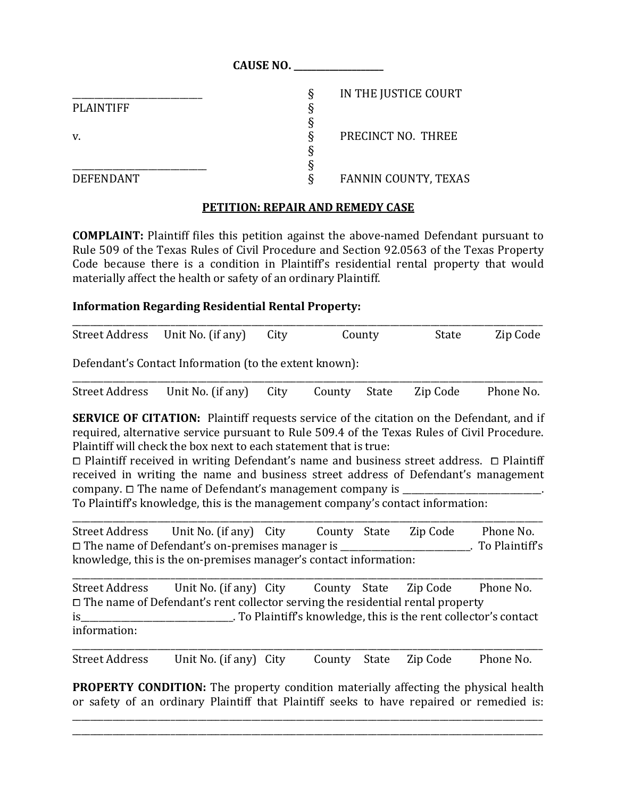|                  | <b>CAUSE NO.</b>                 |  |
|------------------|----------------------------------|--|
|                  | IN THE JUSTICE COURT<br>δ        |  |
| <b>PLAINTIFF</b> |                                  |  |
|                  |                                  |  |
| V.               | PRECINCT NO. THREE               |  |
|                  |                                  |  |
|                  |                                  |  |
| <b>DEFENDANT</b> | <b>FANNIN COUNTY, TEXAS</b><br>♦ |  |

## **PETITION: REPAIR AND REMEDY CASE**

**COMPLAINT:** Plaintiff files this petition against the above-named Defendant pursuant to Rule 509 of the Texas Rules of Civil Procedure and Section 92.0563 of the Texas Property Code because there is a condition in Plaintiff's residential rental property that would materially affect the health or safety of an ordinary Plaintiff.

## **Information Regarding Residential Rental Property:**

| Street Address Unit No. (if any) City | County | State | Zip Code |
|---------------------------------------|--------|-------|----------|

Defendant's Contact Information (to the extent known):

| Street Address Unit No. (if any) City County State Zip Code Phone No. |  |  |  |
|-----------------------------------------------------------------------|--|--|--|

**SERVICE OF CITATION:** Plaintiff requests service of the citation on the Defendant, and if required, alternative service pursuant to Rule 509.4 of the Texas Rules of Civil Procedure. Plaintiff will check the box next to each statement that is true:

 $\Box$  Plaintiff received in writing Defendant's name and business street address.  $\Box$  Plaintiff received in writing the name and business street address of Defendant's management company.  $\Box$  The name of Defendant's management company is

To Plaintiff's knowledge, this is the management company's contact information:

\_\_\_\_\_\_\_\_\_\_\_\_\_\_\_\_\_\_\_\_\_\_\_\_\_\_\_\_\_\_\_\_\_\_\_\_\_\_\_\_\_\_\_\_\_\_\_\_\_\_\_\_\_\_\_\_\_\_\_\_\_\_\_\_\_\_\_\_\_\_\_\_\_\_\_\_\_\_\_\_\_\_\_\_\_\_\_\_\_\_\_\_\_\_\_\_\_\_\_\_\_\_\_\_\_ Street Address Unit No. (if any) City County State Zip Code Phone No.<br>  $\square$  The name of Defendant's on-premises manager is (To Plaintiff's  $\Box$  The name of Defendant's on-premises manager is knowledge, this is the on-premises manager's contact information:

\_\_\_\_\_\_\_\_\_\_\_\_\_\_\_\_\_\_\_\_\_\_\_\_\_\_\_\_\_\_\_\_\_\_\_\_\_\_\_\_\_\_\_\_\_\_\_\_\_\_\_\_\_\_\_\_\_\_\_\_\_\_\_\_\_\_\_\_\_\_\_\_\_\_\_\_\_\_\_\_\_\_\_\_\_\_\_\_\_\_\_\_\_\_\_\_\_\_\_\_\_\_\_\_\_ Street Address Unit No. (if any) City County State Zip Code Phone No.  $\Box$  The name of Defendant's rent collector serving the residential rental property is  $\Box$  To Plaintiff's knowledge, this is the rent collector is To Plaintiff's knowledge, this is the rent collector's contact information:

\_\_\_\_\_\_\_\_\_\_\_\_\_\_\_\_\_\_\_\_\_\_\_\_\_\_\_\_\_\_\_\_\_\_\_\_\_\_\_\_\_\_\_\_\_\_\_\_\_\_\_\_\_\_\_\_\_\_\_\_\_\_\_\_\_\_\_\_\_\_\_\_\_\_\_\_\_\_\_\_\_\_\_\_\_\_\_\_\_\_\_\_\_\_\_\_\_\_\_\_\_\_\_\_\_ Street Address Unit No. (if any) City County State Zip Code Phone No.

**PROPERTY CONDITION:** The property condition materially affecting the physical health or safety of an ordinary Plaintiff that Plaintiff seeks to have repaired or remedied is:

\_\_\_\_\_\_\_\_\_\_\_\_\_\_\_\_\_\_\_\_\_\_\_\_\_\_\_\_\_\_\_\_\_\_\_\_\_\_\_\_\_\_\_\_\_\_\_\_\_\_\_\_\_\_\_\_\_\_\_\_\_\_\_\_\_\_\_\_\_\_\_\_\_\_\_\_\_\_\_\_\_\_\_\_\_\_\_\_\_\_\_\_\_\_\_\_\_\_\_\_\_\_\_\_\_ \_\_\_\_\_\_\_\_\_\_\_\_\_\_\_\_\_\_\_\_\_\_\_\_\_\_\_\_\_\_\_\_\_\_\_\_\_\_\_\_\_\_\_\_\_\_\_\_\_\_\_\_\_\_\_\_\_\_\_\_\_\_\_\_\_\_\_\_\_\_\_\_\_\_\_\_\_\_\_\_\_\_\_\_\_\_\_\_\_\_\_\_\_\_\_\_\_\_\_\_\_\_\_\_\_